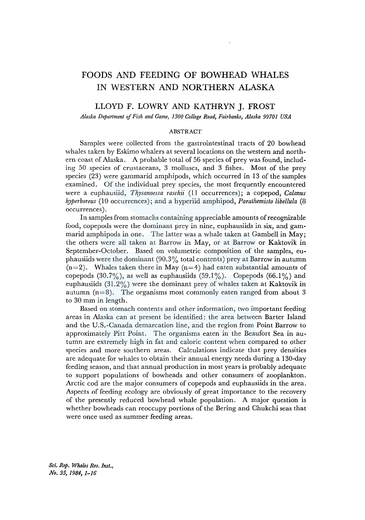# FOODS AND FEEDING OF BOWHEAD WHALES IN WESTERN AND NORTHERN ALASKA

# LLOYD F. LOWRY AND KATHRYN J. FROST

*Alaska Department of Fish and Game, 1300 College Road, Fairbanks, Alaska 99701 USA* 

#### ABSTRACT

Samples were collected from the gastrointestinal tracts of 20 bowhead whales taken by Eskimo whalers at several locations on the western and northern coast of Alaska. A probable total of 56 species of prey was found, including 50 species of crustaceans, 3 molluscs, and 3 fishes. Most of the prey species (23) were gammarid amphipods, which occurred in 13 of the samples examined. Of the individual prey species, the most frequently encountered were a euphausiid, *Thysanoessa raschii* (11 occurrences); a copepod, *Calanus hyperboreus* (10 occurrences); and a hyperiid amphipod, *Parathemisto libellula* (8 occurrences).

In samples from stomachs containing appreciable amounts of recognizable food, copepods were the dominant prey in nine, euphausiids in six, and gammarid amphipods in one. The latter was a whale taken at Gambell in May; the others were all taken at Barrow in May, or at Barrow or Kaktovik in September-October. Based on volumetric composition of the samples, euphausiids were the dominant  $(90.3\%$  total contents) prey at Barrow in autumn  $(n=2)$ . Whales taken there in May  $(n=4)$  had eaten substantial amounts of copepods  $(30.7\%)$ , as well as euphausiids  $(59.1\%)$ . Copepods  $(66.1\%)$  and euphausiids (31.2%) were the dominant prey of whales taken at Kaktovik in autumn  $(n=8)$ . The organisms most commonly eaten ranged from about 3 to 30 mm in length.

Based on stomach contents and other information, two important feeding areas in Alaska can at present be identified: the area between Barter Island and the U.S.-Canada demarcation line, and the region from Point Barrow to approximately Pitt Point. The organisms eaten in the Beaufort Sea in autumn are extremely high in fat and caloric content when compared to other species and more southern areas. Calculations indicate that prey densities are adequate for whales to obtain their annual energy needs during a 130-day feeding season, and that annual production in most years is probably adequate to support populations of bowheads and other consumers of zooplankton. Arctic cod are the major consumers of copepods and euphausiids in the area. Aspects of feeding ecology are obviously of great importance to the recovery of the presently reduced bowhead whale population. A major question is whether bowheads can reoccupy portions of the Bering and Chukchi seas that were once used as summer feeding areas.

*Sci. Rep, Whales Res. Inst., No. 35, 1984, 1-16*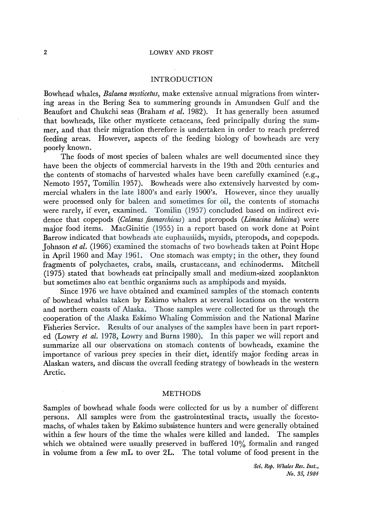# INTRODUCTION

Bowhead whales, *Balaena mysticetus*, make extensive annual migrations from wintering areas in the Bering Sea to summering grounds in Amundsen Gulf and the Beaufort and Chukchi seas (Braham *et al.* 1982). It has generally been assumed that bowheads, like other mysticete cetaceans, feed principally during the summer, and that their migration therefore is undertaken in order to reach preferred feeding areas. However, aspects of the feeding biology of bowheads are very poorly known.

The foods of most species of baleen whales are well documented since they have been the objects of commercial harvests in the 19th and 20th centuries and the contents of stomachs of harvested whales have been carefully examined (e.g., Nemoto 1957, Tomilin 1957). Bowheads were also extensively harvested by commercial whalers in the late 1800's and early 1900's. However, since they usually were processed only for baleen and sometimes for oil, the contents of stomachs were rarely, if ever, examined. Tomilin (1957) concluded based on indirect evidence that copepods *(Calanus finmarchicus)* and pteropods *(Limacina helicina)* were major food items. MacGinitie (1955) in a report based on work done at Point Barrow indicated that bowheads ate euphausiids, mysids, pteropods, and copepods. Johnson *et al.* (1966) examined the stomachs of two bowheads taken at Point Hope in April 1960 and May 1961. One stomach was empty; in the other, they found fragments of polychaetes, crabs, snails, crustaceans, and echinoderms. Mitchell (1975) stated that bowheads eat principally small and medium-sized zooplankton but sometimes also eat benthic organisms such as amphipods and mysids.

Since 1976 we have obtained and examined samples of the stomach contents of bowhead whales taken by Eskimo whalers at several locations on the western and northern coasts of Alaska. Those samples were collected for us through the cooperation of the Alaska Eskimo Whaling Commission and the National Marine Fisheries Service. Results of our analyses of the samples have been in part reported (Lowry *et al.* 1978, Lowry and Burns 1980). In this paper we will report and summarize all our observations on stomach contents of bowheads, examine the importance of various prey species in their diet, identify major feeding areas in Alaskan waters, and discuss the overall feeding strategy of bowheads in the western Arctic.

### METHODS

Samples of bowhead whale foods were collected for us by a number of different persons. All samples were from the gastrointestinal tracts, usually the forestomachs, of whales taken by Eskimo subsistence hunters and were generally obtained within a few hours of the time the whales were killed and landed. The samples which we obtained were usually preserved in buffered 10% formalin and ranged in volume from a few mL to over 2L. The total volume of food present in the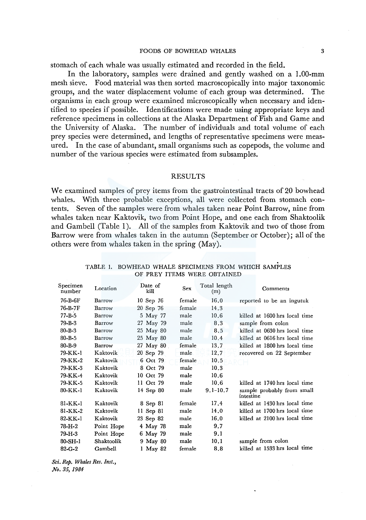stomach of each whale was usually estimated and recorded in the field.

In the laboratory, samples were drained and gently washed on a 1.00-mm mesh sieve. Food material was then sorted macroscopically into major taxonomic groups, and the water displacement volume of each group was determined. The organisms in each group were examined microscopically when necessary and identified to species if possible. Identifications were made using appropriate keys and reference specimens in collections at the Alaska Department of Fish and Game and the University of Alaska. The number of individuals and total volume of each prey species were determined, and lengths of representative specimens were measured. In the case of abundant, small organisms such as copepods, the volume and number of the various species were estimated from subsamples.

# RESULTS

We examined samples of prey items from the gastrointestinal tracts of 20 bowhead whales. With three probable exceptions, all were collected from stomach contents. Seven of the samples were from whales taken near Point Barrow, nine from whales taken near Kaktovik, two from Point Hope, and one each from Shaktoolik and Gambell (Table 1). All of the samples from Kaktovik and two of those from Barrow were from whales taken in the autumn (September or October); all of the others were from whales taken in the spring (May).

| Specimen<br>number | Location      | Date of<br>kill | Sex    | Total length<br>(m) | Comments                                |
|--------------------|---------------|-----------------|--------|---------------------|-----------------------------------------|
| 76-B-6F            | <b>Barrow</b> | 10 Sep 76       | female | 16.0                | reported to be an ingutuk               |
| 76-B-7F            | Barrow        | 20 Sep 76       | female | 14.3                |                                         |
| 77-B-5             | Barrow        | 5 May 77        | male   | 10.6                | killed at 1600 hrs local time           |
| 79-B-3             | Barrow        | 27 May 79       | male   | 8.3                 | sample from colon                       |
| $80 - B - 3$       | Barrow        | 25 May 80       | male   | 8.5                 | killed at 0630 hrs local time           |
| $80 - B - 5$       | Barrow        | 25 May 80       | male   | 10.4                | killed at 0616 hrs local time           |
| $80 - B - 9$       | Barrow        | 27 May 80       | female | 13.7                | killed at 1800 hrs local time           |
| 79-KK-1            | Kaktovik      | 20 Sep 79       | male   | 12.7                | recovered on 22 September               |
| 79-KK-2            | Kaktovik      | 6 Oct 79        | female | 10.5                |                                         |
| 79-KK-3            | Kaktovik      | 8 Oct 79        | male   | 10.3                |                                         |
| 79-KK-4            | Kaktovik      | 10 Oct 79       | male   | 10.6                |                                         |
| 79-KK-5            | Kaktovik      | 11 Oct 79       | male   | 10.6                | killed at 1740 hrs local time           |
| 80-KK-1            | Kaktovik      | 14 Sep 80       | male   | $9.1 - 10.7$        | sample probably from small<br>intestine |
| 81-KK-1            | Kaktovik      | 8 Sep 81        | female | 17.4                | killed at 1430 hrs local time           |
| 81-KK-2            | Kaktovik      | $11$ Sep $81$   | male   | 14.0                | killed at 1700 hrs local time           |
| 82-KK-1            | Kaktovik      | 23 Sep 82       | male   | 16.0                | killed at 2100 hrs local time           |
| 78-H-2             | Point Hope    | 4 May 78        | male   | 9.7                 |                                         |
| 79-H-3             | Point Hope    | 6 May 79        | male   | 9.1                 |                                         |
| $80-SH-1$          | Shaktoolik    | 9 May 80        | male   | 10.1                | sample from colon                       |
| $82 - G - 2$       | Gambell       | 1 May 82        | female | 8.8                 | killed at 1533 hrs local time           |

TABLE 1. BOWHEAD WHALE SPECIMENS FROM WHICH SAMPLES OF PREY ITEMS WERE OBTAINED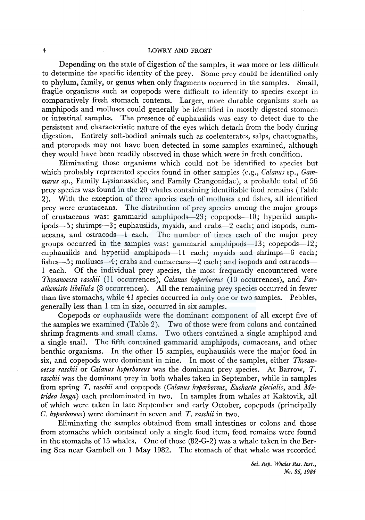Depending on the state of digestion of the samples, it was more or less difficult to determine the specific identity of the prey. Some prey could be identified only to phylum, family, or genus when only fragments occurred in the samples. Small, fragile organisms such as copepods were difficult to identify to species except in comparatively fresh stomach contents. Larger, more durable organisms such as amphipods and molluscs could generally be identified in mostly digested stomach or intestinal samples. The presence of euphausiids was easy to detect due to the persistent and characteristic nature of the eyes which detach from the body during digestion. Entirely soft-bodied animals such as coelenterates, salps, chaetognaths, and pteropods may not have been detected in some samples examined, although they would have been readily observed in those which were in fresh condition.

Eliminating those organisms which could not be identified to species but which probably represented species found in other samples (e.g., *Calanus* sp., *Gammarus* sp., Family Lysianassidae, and Family Crangonidae ), a probable total of 56 prey species was found in the 20 whales containing identifiable food remains (Table 2). With the exception of three species each of molluscs and fishes, all identified prey were crustaceans. The distribution of prey species among the major groups of crustaceans was: gammarid amphipods-23; copepods-10; hyperiid amphipods-5; shrimps-3; euphausiids, mysids, and crabs-2 each; and isopods, cumaceans, and ostracods-1 each. The number of times each of the major prey groups occurred in the samples was: gammarid amphipods-13; copepods-12; euphausiids and hyperiid amphipods—11 each; mysids and shrimps—6 each; fishes--5; molluscs--4; crabs and cumaceans--2 each; and isopods and ostracods--1 each. Of the individual prey species, the most frequently encountered were *Thysanoessa raschii* (11 occurrences), *Calanus hyperboreus* (10 occurrences), and *Parathemisto libellula* (8 occurrences). All the remaining prey species occurred in fewer than five stomachs, while 41 species occurred in only one or two samples. Pebbles, generally less than 1 cm in size, occurred in six samples.

Copepods or euphausiids were the dominant component of all except five of the samples we examined (Table 2). Two of those were from colons and contained shrimp fragments and small clams. Two others contained a single amphipod and a single snail. The fifth contained gammarid amphipods, cumaceans, and other benthic organisms. In the other 15 samples, euphausiids were the major food in six, and copepods were dominant in nine. In most of the samples, either *Thysanoessa raschii* or *Calanus hyperboreus* was the dominant prey species. At Barrow, *T. raschii* was the dominant prey in both whales taken in September, while in samples from spring *T. raschii* and copepods *(Calanus hyperboreus, Euchaeta glacialis,* and *Metridea longa)* each predominated in two. In samples from whales at Kaktovik, all of which were taken in late September and early October, copepods (principally *C. hyperboreus)* were dominant in seven and *T. raschii* in two.

Eliminating the samples obtained from small intestines or colons and those from stomachs which contained only a single food item, food remains were found in the stomachs of 15 whales. One of those (82-G-2) was a whale taken in the Bering Sea near Gambell on 1 May 1982. The stomach of that whale was recorded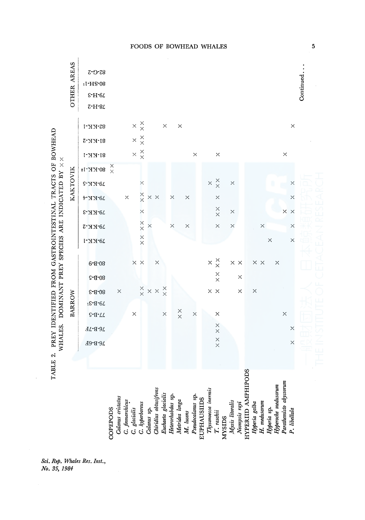

Sci. Rep. Whales Res. Inst., No. 35, 1984

5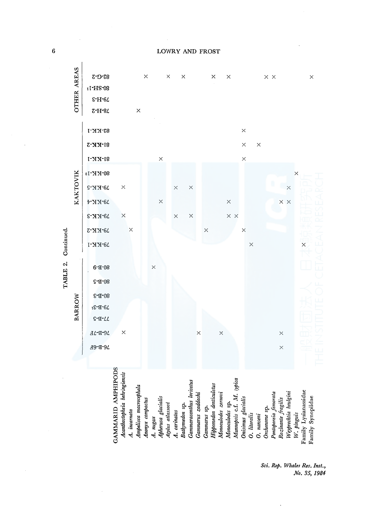$\overline{6}$ 

LOWRY AND FROST

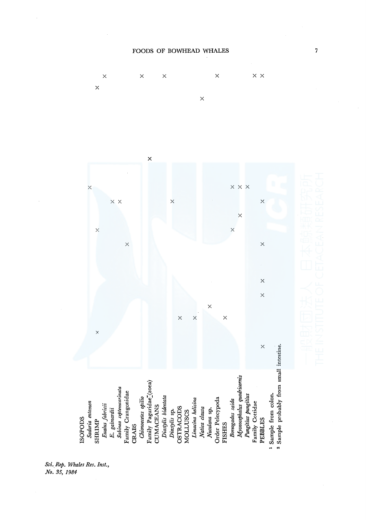

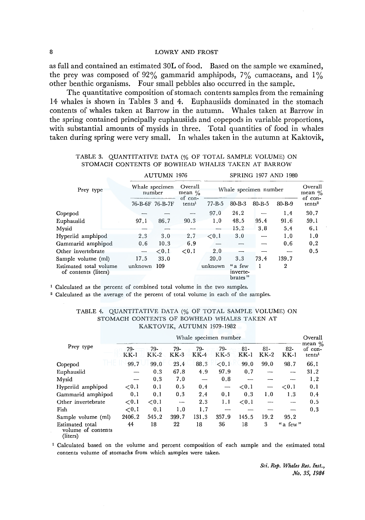as full and contained an estimated 30L of food. Based on the sample we examined, the prey was composed of 92% gammarid amphipods,  $7\%$  cumaceans, and  $1\%$ other benthic organisms. Four small pebbles also occurred in the sample.

The quantitative composition of stomach contents samples from the remaining 14 whales is shown in Tables 3 and 4. Euphausiids dominated in the stomach contents of whales taken at Barrow in the autumn. Whales taken at Barrow in the spring contained principally euphausiids and copepods in variable proportions, with substantial amounts of mysids in three. Total quantities of food in whales taken during spring were very small. In whales taken in the autumn at Kaktovik,

|                                                |                 | <b>AUTUMN 1976</b>       |                               |                                               | <b>SPRING 1977 AND 1980</b>     |              |              |                    |  |
|------------------------------------------------|-----------------|--------------------------|-------------------------------|-----------------------------------------------|---------------------------------|--------------|--------------|--------------------|--|
| Prey type                                      |                 | Whale specimen<br>number |                               | Overall<br>Whale specimen number<br>mean $\%$ | Overall<br>mean $\%$<br>of con- |              |              |                    |  |
|                                                | 76-B-6F 76-B-7F |                          | of con-<br>tents <sup>1</sup> | $77 - B - 5$                                  | $80 - B - 3$                    | $80 - B - 5$ | $80 - B - 9$ | tents <sup>2</sup> |  |
| Copepod                                        |                 |                          |                               | 97.0                                          | 24.2                            |              | 1.4          | 30.7               |  |
| Euphausiid                                     | 97.1            | 86.7                     | 90.3                          | 1.0                                           | 48.5                            | 95.4         | 91.6         | 59.1               |  |
| Mysid                                          |                 |                          |                               |                                               | 15.2                            | 3.8          | 5.4          | 6.1                |  |
| Hyperiid amphipod                              | 2.3             | 3.0                      | 2.7                           | ${<}0.1$                                      | 3.0                             |              | 1.0          | 1.0                |  |
| Gammarid amphipod                              | 0.6             | 10.3                     | 6.9                           |                                               |                                 |              | 0.6          | 0,2                |  |
| Other invertebrate                             |                 | ${<}0.1$                 | ${<}0.1$                      | 2.0                                           |                                 |              |              | 0.5                |  |
| Sample volume (ml)                             | 17.5            | 33.0                     |                               | 20.0                                          | 3.3                             | 73.4         | 139.7        |                    |  |
| Estimated total volume<br>of contents (liters) | unknown         | 109                      |                               | unknown                                       | "a few<br>inverte-<br>brates"   |              | 2            |                    |  |

# TABLE 3. QUANTITATIVE DATA(% OF TOTAL SAMPLE VOLUME) ON STOMACH CONTENTS OF BOWHEAD WHALES TAKEN AT BARROW

1 Calculated as the percent of combined total volume in the two samples.

2 Calculated as the average of the percent of total volume in each of the samples.

|                                                   |               |               |               |               | Whale specimen number         |                 |                 |                          | Overall                                    |
|---------------------------------------------------|---------------|---------------|---------------|---------------|-------------------------------|-----------------|-----------------|--------------------------|--------------------------------------------|
| Prey type                                         | 79-<br>$KK-1$ | 79-<br>$KK-2$ | 79-<br>$KK-3$ | 79-<br>$KK-4$ | 79-<br>$KK-5$                 | $81-$<br>$KK-1$ | $81-$<br>$KK-2$ | $82 -$<br>$KK-1$         | mean $\%$<br>of con-<br>tents <sup>1</sup> |
| Copepod                                           | 99.7          | 99.0          | 23.4          | 88.3          | < 0.1                         | 99.0            | 99.0            | 98.7                     | 66.1                                       |
| Euphausiid                                        |               | 0.3           | 67.8          | 4.9           | 97.9                          | 0.7             |                 | $- -$                    | 31.2                                       |
| Mysid                                             |               | 0.3           | 7.0           |               | 0.8                           |                 |                 |                          | 1.2                                        |
| Hyperiid amphipod                                 | ${<}0.1$      | 0.1           | 0.5           | 0.4           | $\overbrace{\phantom{aaaaa}}$ | ${<}0.1$        |                 | ${<}0.1$                 | 0.1                                        |
| Gammarid amphipod                                 | 0.1           | 0.1           | 0.3           | 2.4           | 0.1                           | 0.3             | 1.0             | 1.3                      | 0.4                                        |
| Other invertebrate                                | ${<}0.1$      | ${<}0.1$      | 1.11          | 2.3           | 1,1                           | ${<}0.1$        |                 | $\overline{\phantom{0}}$ | 0.5                                        |
| Fish                                              | ${<}0.1$      | 0.1           | 1.0           | 1.7           |                               |                 |                 |                          | 0.3                                        |
| Sample volume (ml)                                | 2406.2        | 545.2         | 399.7         | 131.3         | 357.9                         | 145.5           | 19.2            | 95.2                     |                                            |
| Estimated total<br>volume of contents<br>(liters) | 44            | 18            | 22            | 18            | 36                            | 18              | 3               | "a few"                  |                                            |

### TABLE 4. QUANTITATIVE DATA(% OF TOTAL SAMPLE VOLUME) ON STOMACH CONTENTS OF BOWHEAD WHALES TAKEN AT KAKTOVIK, AUTUMN 1979-1982

1 Calculated based on the volume and percent composition of each sample and the estimated total contents volume of stomachs from which samples were taken.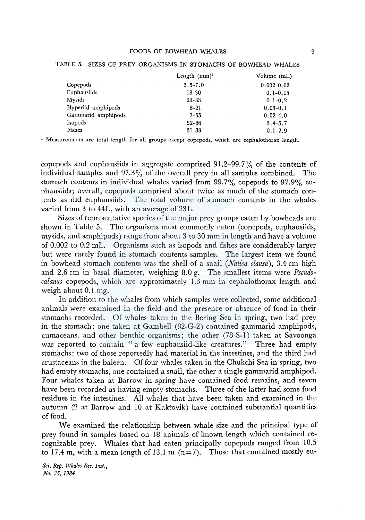|                    | Length $(mm)^1$ | Volume (mL)    |
|--------------------|-----------------|----------------|
| Copepods           | $3.5 - 7.0$     | $0.002 - 0.02$ |
| Euphausiids        | $18 - 30$       | $0.1 - 0.15$   |
| Mysids             | $23 - 33$       | $0.1 - 0.2$    |
| Hyperiid amphipods | $8 - 21$        | $0.05 - 0.1$   |
| Gammarid amphipods | $7 - 55$        | $0.02 - 4.0$   |
| Isopods            | $52 - 86$       | $3.4 - 5.7$    |
| Fishes             | $31 - 83$       | $0.1 - 2.9$    |

#### TABLE 5. SIZES OF PREY ORGANISMS IN STOMACHS OF BOWHEAD WHALES

1 Measurements are total length for all groups except copepods, which are cephalothorax length.

copepods and euphausiids in aggregate comprised 91.2-99.7% of the contents of individual samples and 97.3% of the overall prey in all samples combined. The stomach contents in individual whales varied from 99.7% copepods to 97.9% euphausiids; overall, copepods comprised about twice as much of the stomach contents as did euphausiids. The total volume of stomach contents in the whales varied from 3 to 44L, with an average of 23L.

Sizes of representative species of the major prey groups eaten by bowheads are shown in Table 5. The organisms most commonly eaten (copepods, euphausiids, mysids, and amphipods) range from about 3 to 30 mm in length and have a volume of 0.002 to 0.2 mL. Organisms such as isopods and fishes are considerably larger but were rarely found in stomach contents samples. The largest item we found in bowhead stomach contents was the shell of a snail *(Natica clausa),* 3.4 cm high and 2.6 cm in basal diameter, weighing 8.0 g. The smallest items were *Pseudocalanus* copepods, which are approximately 1.3 mm in cephalothorax length and weigh about 0.1 mg.

In addition to the whales from which samples were collected, some additional animals were examined in the field and the presence or absence of food in their stomachs recorded. Of whales taken in the Bering Sea in spring, two had prey in the stomach: one taken at Gambell (82-G-2) contained gammarid amphipods, cumaceans, and other benthic organisms; the other (78-S-l) taken at Savoonga was reported to contain "a few euphausiid-like creatures." Three had empty stomachs: two of those reportedly had material in the intestines, and the third had crustaceans in the baleen. Of four whales taken in the Chukchi Sea in spring, two had empty stomachs, one contained a snail, the other a single gammarid amphipod. Four whales taken at Barrow in spring have contained food remains, and seven have been recorded as having empty stomachs. Three of the latter had some food residues in the intestines. All whales that have been taken and examined in the autumn (2 at Barrow and 10 at Kaktovik) have contained substantial quantities of food.

We examined the relationship between whale size and the principal type of prey found in samples based on 18 animals of known length which contained recognizable prey. Whales that had eaten principally copepods ranged from 10.5 to 17.4 m, with a mean length of 13.1 m  $(n=7)$ . Those that contained mostly eu-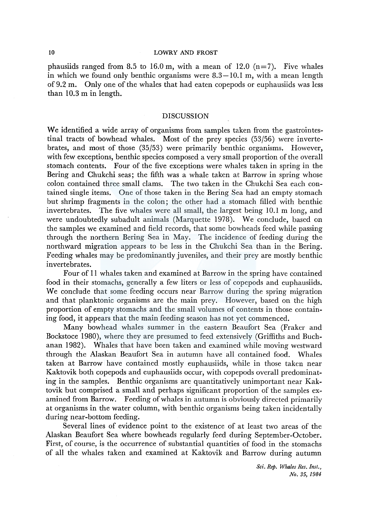phausiids ranged from 8.5 to 16.0 m, with a mean of 12.0  $(n=7)$ . Five whales in which we found only benthic organisms were  $8.3-10.1$  m, with a mean length of 9.2 m. Only one of the whales that had eaten copepods or euphausiids was less than 10.3 m in length.

### DISCUSSION

We identified a wide array of organisms from samples taken from the gastrointestinal tracts of bowhead whales. Most of the prey species (53/56) were invertebrates, and most of those (35/53) were primarily benthic organisms. However, with few exceptions, benthic species composed a very small proportion of the overall stomach contents. Four of the five exceptions were whales taken in spring in the Bering and Chukchi seas; the fifth was a whale taken at Barrow in spring whose colon contained three small clams. The two taken in the Chukchi Sea each contained single items. One of those taken in the Bering Sea had an empty stomach but shrimp fragments in the colon; the other had a stomach filled with benthic invertebrates. The five whales were all small, the largest being 10.1 m long, and were undoubtedly subadult animals (Marquette 1978). We conclude, based on the samples we examined and field records, that some bowheads feed while passing through the northern Bering Sea in May. The incidence of feeding during the northward migration appears to be less in the Chukchi Sea than in the Bering. Feeding whales may be predominantly juveniles, and their prey are mostly benthic invertebrates.

Four of 11 whales taken and examined at Barrow in the spring have contained food in their stomachs, generally a few liters or less of copepods and euphausiids. We conclude that some feeding occurs near Barrow during the spring migration and that planktonic organisms are the main prey. However, based on the high proportion of empty stomachs and the small volumes of contents in those containing food, it appears that the main feeding season has not yet commenced.

Many bowhead whales summer in the eastern Beaufort Sea (Fraker and Bockstoce 1980), where they are presumed to feed extensively (Griffiths and Buchanan 1982). Whales that have been taken and examined while moving westward through the Alaskan Beaufort Sea in autumn have all contained food. Whales taken at Barrow have contained mostly euphausiids, while in those taken near Kaktovik both copepods and euphausiids occur, with copepods overall predominating in the samples. Benthic organisms are quantitatively unimportant near Kaktovik but comprised a small and perhaps significant proportion of the samples examined from Barrow. Feeding of whales in autumn is obviously directed primarily at organisms in the water column, with benthic organisms being taken incidentally during near-bottom feeding.

Several lines of evidence point to the existence of at least two areas of the Alaskan Beaufort Sea where bowheads regularly feed during September-October. First, of course, is the occurrence of substantial quantities of food in the stomachs of all the whales taken and examined at Kaktovik and Barrow during autumn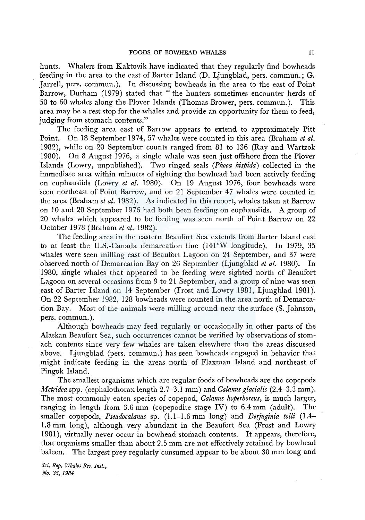hunts. Whalers from Kaktovik have indicated that they regularly find bowheads feeding in the area to the east of Barter Island (D. Ljungblad, pers. commun.; G. Jarrell, pers. commun.). In discussing bowheads in the area to the east of Point Barrow, Durham (1979) stated that "the hunters sometimes encounter herds of 50 to 60 whales along the Plover Islands (Thomas Brower, pers. commun.). This area may be a rest stop for the whales and provide an opportunity for them to feed, judging from stomach contents."

The feeding area east of Barrow appears to extend to approximately Pitt Point. On 18 September 1974, 57 whales were counted in this area (Braham *et al.*  1982), while on 20 September counts ranged from 81 to 136 (Ray and Wartzok 1980). On 8 August 1976, a single whale was seen just offshore from the Plover Islands (Lowry, unpublished). Two ringed seals *(Phoca hispida)* collected in the immediate area within minutes of sighting the bowhead had been actively feeding on euphausiids (Lowry *et al.* 1980). On 19 August 1976, four bowheads were seen northeast of Point Barrow, and on 21 September 47 whales were counted in the area (Braham *et al.* 1982). As indicated in this report, whales taken at Barrow on 10 and 20 September 1976 had both been feeding on euphausiids. A group of 20 whales which appeared to be feeding was seen north of Point Barrow on 22 October 1978 (Braham *et al.* 1982).

The feeding area in the eastern Beaufort Sea extends from Barter Island east to at least the U.S.-Canada demarcation line (141°W longitude). In 1979, 35 whales were seen milling east of Beaufort Lagoon on 24 September, and 37 were observed north of Demarcation Bay on 26 September (Ljungblad *et al.* 1980). In 1980, single whales that appeared to be feeding were sighted north of Beaufort Lagoon on several occasions from 9 to 21 September, and a group of nine was seen east of Barter Island on 14 September (Frost and Lowry 1981, Ljungblad 1981). On 22 September 1982, 128 bowheads were counted in the area north of Demarcation Bay. Most of the animals were milling around near the surface (S. Johnson, pers. commun. ).

Although bowheads may feed regularly or occasionally in other parts of the Alaskan Beaufort Sea, such occurrences cannot be verified by observations of stomach contents since very few whales are taken elsewhere than the areas discussed above. Ljungblad (pers. commun.) has seen bowheads engaged in behavior that might indicate feeding in the areas north of Flaxman Island and northeast of Pingok Island.

The smallest organisms which are regular foods of bowheads are the copepods *Metridea* spp. (cephalothorax length 2.7-3.1 mm) and *Calanus glacialis* (2.4-3.3 mm). The most commonly eaten species of copepod, *Calanus hyperboreus,* is much larger, ranging in length from  $3.6 \text{ mm}$  (copepodite stage IV) to  $6.4 \text{ mm}$  (adult). The smaller copepods, *Pseudocalanus* sp. (1.1-1.6 mm long) and *Derjuginia tolli* (1.4- 1.8 mm long), although very abundant in the Beaufort Sea (Frost and Lowry 1981 ), virtually never occur in bowhead stomach contents. It appears, therefore, that organisms smaller than about 2.5 mm are not effectively retained by bowhead baleen. The largest prey regularly consumed appear to be about 30 mm long and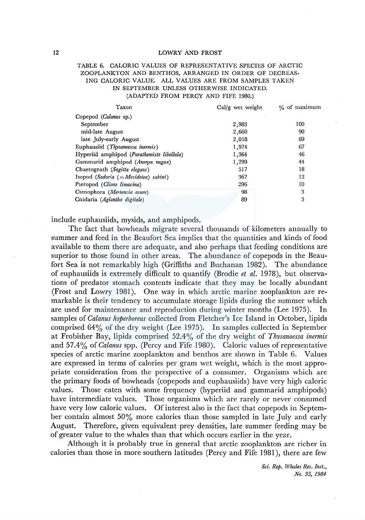## TABLE 6. CALORIC VALUES OF REPRESENTATIVE SPECIES OF ARCTIC ZOOPLANKTON AND BENTHOS, ARRANGED IN ORDER OF DECREAS-ING CALORIC VALUE. ALL VALUES ARE FROM SAMPLES TAKEN IN SEPTEMBER UNLESS OTHERWISE INDICATED. (ADAPTED FROM PERCY AND FIFE 1980.)

| Taxon                                      | Cal/g wet weight | % of maximum |  |  |
|--------------------------------------------|------------------|--------------|--|--|
| Copepod (Calanus sp.)                      |                  |              |  |  |
| September                                  | 2,983            | 100          |  |  |
| mid-late August                            | 2,660            | 90           |  |  |
| late July-early August                     | 2,018            | 69           |  |  |
| Euphausiid (Thysanoessa inermis)           | 1,974            | 67           |  |  |
| Hyperiid amphipod (Parathemisto libellula) | 1,364            | 46           |  |  |
| Gammarid amphipod (Anonyx nugax)           | 1,299            | 44           |  |  |
| Chaetognath (Sagitta elegans)              | 517              | 18           |  |  |
| Isopod (Saduria $(=Mesidotea)$ sabini)     | 367              | 12           |  |  |
| Pteropod (Clione limacina)                 | 296              | 10           |  |  |
| Ctenophora (Mertensia ovum)                | 98               | 3            |  |  |
| Cnidaria (Aglantha digitale)               | 89               | 3            |  |  |

include euphausiids, mysids, and amphipods.

The fact that bowheads migrate several thousands of kilometers annually to summer and feed in the Beaufort Sea implies that the quantities and kinds of food available to them there are adequate, and also perhaps that feeding conditions are superior to those found in other areas. The abundance of copepods in the Beaufort Sea is not remarkably high (Griffiths and Buchanan 1982). The abundance of euphausiids is extremely difficult to quantify (Brodie *et al.* 1978), but observations of predator stomach contents indicate that they may be locally abundant (Frost and Lowry 1981). One way in which arctic marine zooplankton are remarkable is their tendency to accumulate storage lipids during the summer which are used for maintenance and reproduction during winter months (Lee 1975). In samples of *Calanus hyperboreus* collected from Fletcher's Ice Island in October, lipids comprised 64% of the dry weight (Lee 1975). In samples collected in September at Frobisher Bay, lipids comprised 52.4% of the dry weight of *Thysanoessa inermis*  and 57.4% of *Calanus* spp. (Percy and Fife 1980). Caloric values of representative species of arctic marine zooplankton and benthos are shown in Table 6. Values are expressed in terms of calories per gram wet weight, which is the most appropriate consideration from the perspective of a consumer. Organisms which are the primary foods of bowheads (copepods and euphausiids) have very high caloric values. Those eaten with some frequency (hyperiid and gammarid amphipods) have intermediate values. Those organisms which are rarely or never consumed have very low caloric values. Of interest also is the fact that copepods in September contain almost 50% more calories than those sampled in late July and early August. Therefore, given equivalent prey densities, late summer feeding may be of greater value to the whales than that which occurs earlier in the year.

Although it is probably true in general that arctic zooplankton are richer in calories than those in more southern latitudes (Percy and Fife 1981), there are few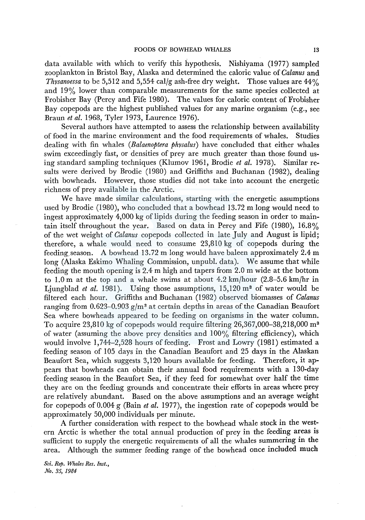data available with which to verify this hypothesis. Nishiyama (1977) sampled zooplankton in Bristol Bay, Alaska and determined the caloric value of *Calanus* and *Thysanoessa* to be 5,512 and 5,554 cal/g ash-free dry weight. Those values are 44% and 19% lower than comparable measurements for the same species collected at Frobisher Bay (Percy and Fife 1980). The values for caloric content of Frobisher Bay copepods are the highest published values for any marine organism (e.g., see Braun *et al.* 1968, Tyler 1973, Laurence 1976).

Several authors have attempted to assess the relationship between availability of food in the marine environment and the food requirements of whales. Studies dealing with fin whales *(Balaenoptera physalus)* have concluded that either whales swim exceedingly fast, or densities of prey are much greater than those found using standard sampling techniques (Klumov 1961, Brodie *et al.* 1978). Similar results were derived by Brodie (1980) and Griffiths and Buchanan (1982), dealing with bowheads. However, those studies did not take into account the energetic richness of prey available in the Arctic.

We have made similar calculations, starting with the energetic assumptions used by Brodie (1980), who concluded that a bowhead 13.72 m long would need to ingest approximately 4,000 kg of lipids during the feeding season in order to maintain itself throughout the year. Based on data in Percy and Fife (1980), 16.8% of the wet weight of *Calanus* copepods collected in late July and August is lipid; therefore, a whale would need to consume 23,810 kg of copepods during the feeding season. A bowhead 13.72 m long would have baleen approximately  $2.4 \text{ m}$ long (Alaska Eskimo Whaling Commission, unpubl. data). We assume that while feeding the mouth opening is 2.4 m high and tapers from 2.0 m wide at the bottom to 1.0 m at the top and a whale swims at about 4.2 km/hour (2.8-5.6 km/hr in Ljungblad *et al.* 1981). Using those assumptions, 15,120 m<sup>3</sup> of water would be filtered each hour. Griffiths and Buchanan (1982) observed biomasses of *Calanus*  ranging from 0.623-0.903  $g/m^3$  at certain depths in areas of the Canadian Beaufort Sea where bowheads appeared to be feeding on organisms in the water column. To acquire 23,810 kg of copepods would require filtering 26,367,000-38,218,000 m3 of water (assuming the above prey densities and 100% filtering efficiency), which would involve 1,744-2,528 hours of feeding. Frost and Lowry (1981) estimated a feeding season of 105 days in the Canadian Beaufort and 25 days in the Alaskan Beaufort Sea, which suggests 3,120 hours available for feeding. Therefore, it appears that bowheads can obtain their annual food requirements with a 130-day feeding season in the Beaufort Sea, if they feed for somewhat over half the time they are on the feeding grounds and concentrate their efforts in areas where prey are relatively abundant. Based on the above assumptions and an average weight for copepods of 0.004 g (Bain *et al.* 1977), the ingestion rate of copepods would be approximately 50,000 individuals per minute.

A further consideration with respect to the bowhead whale stock in the western Arctic is whether the total annual production of prey in the feeding areas is sufficient to supply the energetic requirements of all the whales summering in the area. Although the summer feeding range of the bowhead once included much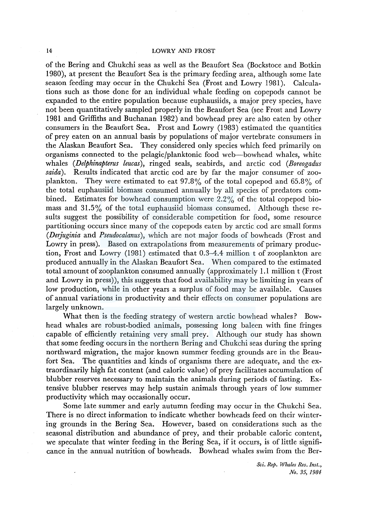of the Bering and Chukchi seas as well as the Beaufort Sea (Bockstoce and Botkin 1980), at present the Beaufort Sea is the primary feeding area, although some late season feeding may occur in the Chukchi Sea (Frost and Lowry 1981). Calculations such as those done for an individual whale feeding on copepods cannot be expanded to the entire population because euphausiids, a major prey species, have not been quantitatively sampled properly in the Beaufort Sea (see Frost and Lowry 1981 and Griffiths and Buchanan 1982) and bowhead prey are also eaten by other consumers in the Beaufort Sea. Frost and Lowry (1983) estimated the quantities of prey eaten on an annual basis by populations of major vertebrate consumers in the Alaskan Beaufort Sea. They considered only species which feed primarily on organisms connected to the pelagic/planktonic food web-bowhead whales, white whales *(Delphinapterus leucas),* ringed seals, seabirds, and arctic cod *(Boreogadus saida).* Results indicated that arctic cod are by far the major consumer of zooplankton. They were estimated to eat 97.8% of the total copepod and 65.8% of the total euphausiid biomass consumed annually by all species of predators combined. Estimates for bowhead consumption were  $2.2\%$  of the total copepod biomass and 31.5% of the total euphausiid biomass consumed. Although these results suggest the possibility of considerable competition for food, some resource partitioning occurs since many of the copepods eaten by arctic cod are small forms *(Der}uginia* and *Pseudocalanus),* which are not major foods of bowheads (Frost and Lowry in press). Based on extrapolations from measurements of primary production, Frost and Lowry (1981) estimated that 0.3-4.4 million t of zooplankton are produced annually in the Alaskan Beaufort Sea. When compared to the estimated total amount of zooplankton consumed annually (approximately 1.1 million t (Frost and Lowry in press)), this suggests that food availability may be limiting in years of low production, while in other years a surplus of food may be available. Causes of annual variations in productivity and their effects on consumer populations are largely unknown.

What then is the feeding strategy of western arctic bowhead whales? Bowhead whales are robust-bodied animals, possessing long baleen with fine fringes capable of efficiently retaining very small prey. Although our study has shown that some feeding occurs in the northern Bering and Chukchi seas during the spring northward migration, the major known summer feeding grounds are in the Beaufort Sea. The quantities and kinds of organisms there are adequate, and the extraordinarily high fat content (and caloric value) of prey facilitates accumulation of blubber reserves necessary to maintain the animals during periods of fasting. Extensive blubber reserves may help sustain animals through years of low summer productivity which may occasionally occur.

Some late summer and early autumn feeding may occur in the Chukchi Sea. There is no direct information to indicate whether bowheads feed on their wintering grounds in the Bering Sea. However, based on considerations such as the seasonal distribution and abundance of prey, and their probable caloric content, we speculate that winter feeding in the Bering Sea, if it occurs, is of little significance in the annual nutrition of bowheads. Bowhead whales swim from the Ber-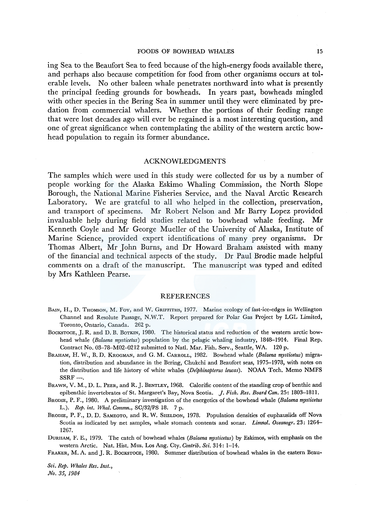ing Sea to the Beaufort Sea to feed because of the high-energy foods available there, and perhaps also because competition for food from other organisms occurs at tolerable levels. No other baleen whale penetrates northward into what is presently the principal feeding grounds for bowheads. In years past, bowheads mingled with other species in the Bering Sea in summer until they were eliminated by predation from commercial whalers. Whether the portions of their feeding range that were lost decades ago will ever be regained is a most interesting question, and one of great significance when contemplating the ability of the western arctic bowhead population to regain its former abundance.

#### ACKNOWLEDGMENTS

The samples which were used in this study were collected for us by a number of people working for the Alaska Eskimo Whaling Commission, the North Slope Borough, the National Marine Fisheries Service, and the Naval Arctic Research Laboratory. We are grateful to all who helped in the collection, preservation, and transport of specimens. Mr Robert Nelson and Mr Barry Lopez provided invaluable help during field studies related to bowhead whale feeding. Mr Kenneth Coyle and Mr George Mueller of the University of Alaska, Institute of Marine Science, provided expert identifications of many prey organisms. Dr Thomas Albert, Mr John Burns, and Dr Howard Braham assisted with many of the financial and technical aspects of the study. Dr Paul Brodie made helpful comments on a draft of the manuscript. The manuscript was typed and edited by Mrs Kathleen Pearse.

#### REFERENCES

- BAIN, H., D. THOMSON, M. Fox, and W. GRIFFITHS, 1977. Marine ecology of fast-ice-edges in Wellington Channel and Resolute Passage, N.W.T. Report prepared for Polar Gas Project by LGL Limited, Toronto, Ontario, Canada. 262 p.
- BOCKSTOCE, J. R. and D. B. BOTKIN, 1980. The historical status and reduction of the western arctic bowhead whale *(Balaena mysticetus)* population by the pelagic whaling industry, 1848-1914. Final Rep. Contract No. 03-78-M02-0212 submitted to Natl. Mar. Fish. Serv., Seattle, WA. 120 p.
- BRAHAM, H. W., B. D. KROGMAN, and G. M. CARROLL, 1982. Bowhead whale *(Balaena mysticetus)* migration, distribution and abundance in the Bering, Chukchi and Beaufort seas, 1975-1978, with notes on the distribution and life history of white whales *(Delphinapterus leucas).* NOAA Tech. Memo NMFS  $SSRF-$ .
- BRAWN, V. M., D. L. PEER, and R. J. BENTLEY, 1968. Calorific content of the standing crop of benthic and epibenthic invertebrates of St. Margaret's Bay, Nova Scotia. *j. Fish. Res. Board Can.* 25~ 1803-1811.
- BRODIE, P. F., 1980. A preliminary investigation of the energetics of the bowhead whale *(Balaena mysticetus*  L.). *Rep. int. Whal. Commn.,* SC/32/PS 18. 7 p.
- BRODIE, P. F., D. D. SAMEOTo, and R. W. SHELDON, 1978. Population densities of euphausiids off Nova Scotia as indicated by net samples, whale stomach contents and sonar. *Limnol. Oceanogr.* 23: 1264- 1267.

DURHAM, F. E., 1979. The catch of bowhead whales *(Balaena mysticetus)* by Eskimos, with emphasis on the western Arctic. Nat. Hist. Mus. Los Ang. Cty. *Contrib. Sci.* 314: 1-14.

FRAKER, M. A. and J. R. BOCKSTOCE, 1980. Summer distribution of bowhead whales in the eastern Beau-